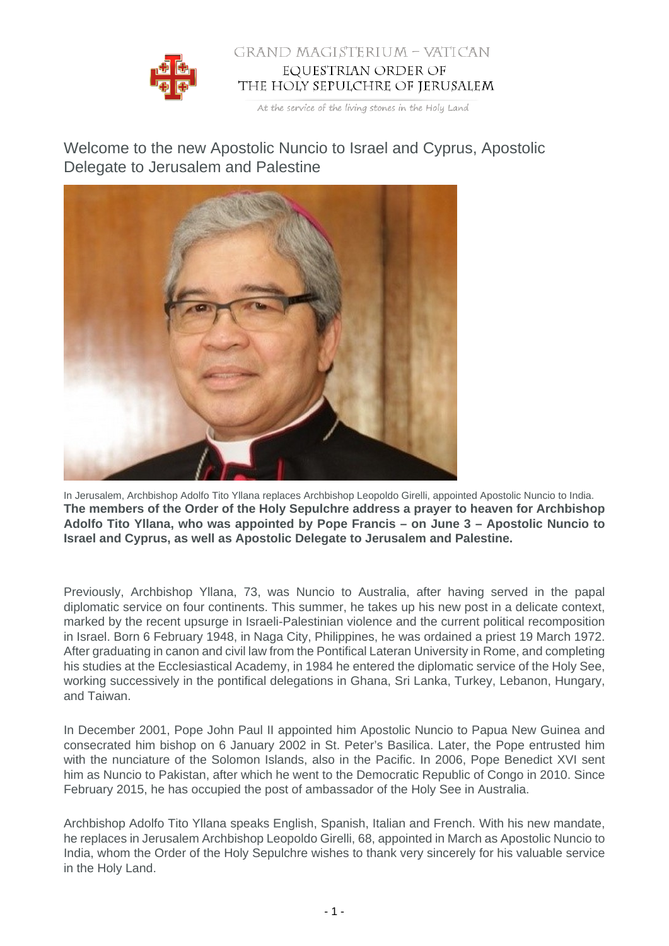

## GRAND MAGISTERIUM - VATICAN EQUESTRIAN ORDER OF THE HOLY SEPULCHRE OF JERUSALEM

At the service of the living stones in the Holy Land

Welcome to the new Apostolic Nuncio to Israel and Cyprus, Apostolic Delegate to Jerusalem and Palestine



In Jerusalem, Archbishop Adolfo Tito Yllana replaces Archbishop Leopoldo Girelli, appointed Apostolic Nuncio to India. **The members of the Order of the Holy Sepulchre address a prayer to heaven for Archbishop Adolfo Tito Yllana, who was appointed by Pope Francis – on June 3 – Apostolic Nuncio to Israel and Cyprus, as well as Apostolic Delegate to Jerusalem and Palestine.**

Previously, Archbishop Yllana, 73, was Nuncio to Australia, after having served in the papal diplomatic service on four continents. This summer, he takes up his new post in a delicate context, marked by the recent upsurge in Israeli-Palestinian violence and the current political recomposition in Israel. Born 6 February 1948, in Naga City, Philippines, he was ordained a priest 19 March 1972. After graduating in canon and civil law from the Pontifical Lateran University in Rome, and completing his studies at the Ecclesiastical Academy, in 1984 he entered the diplomatic service of the Holy See, working successively in the pontifical delegations in Ghana, Sri Lanka, Turkey, Lebanon, Hungary, and Taiwan.

In December 2001, Pope John Paul II appointed him Apostolic Nuncio to Papua New Guinea and consecrated him bishop on 6 January 2002 in St. Peter's Basilica. Later, the Pope entrusted him with the nunciature of the Solomon Islands, also in the Pacific. In 2006, Pope Benedict XVI sent him as Nuncio to Pakistan, after which he went to the Democratic Republic of Congo in 2010. Since February 2015, he has occupied the post of ambassador of the Holy See in Australia.

Archbishop Adolfo Tito Yllana speaks English, Spanish, Italian and French. With his new mandate, he replaces in Jerusalem Archbishop Leopoldo Girelli, 68, appointed in March as Apostolic Nuncio to India, whom the Order of the Holy Sepulchre wishes to thank very sincerely for his valuable service in the Holy Land.